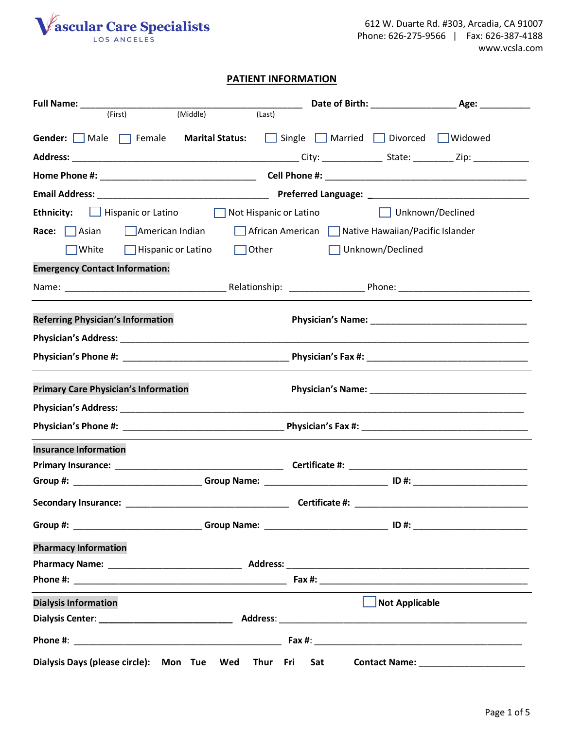

612 W. Duarte Rd. #303, Arcadia, CA 91007 Phone: 626-275-9566 | Fax: 626-387-4188 www.vcsla.com

### **PATIENT INFORMATION**

| (Middle)<br>(First)<br>(Last)                                                                                  |                                                   |                                               |  |  |
|----------------------------------------------------------------------------------------------------------------|---------------------------------------------------|-----------------------------------------------|--|--|
| Gender: Male <b>Female</b> Marital Status:                                                                     | Single Married Divorced Widowed                   |                                               |  |  |
|                                                                                                                |                                                   |                                               |  |  |
|                                                                                                                |                                                   |                                               |  |  |
|                                                                                                                |                                                   |                                               |  |  |
| <b>Ethnicity:</b> Hispanic or Latino Not Hispanic or Latino                                                    | Unknown/Declined                                  |                                               |  |  |
| Race: $\Box$ Asian<br>$\Box$ American Indian                                                                   | African American Native Hawaiian/Pacific Islander |                                               |  |  |
| $\Box$ Hispanic or Latino<br>Other<br> White                                                                   | Unknown/Declined                                  |                                               |  |  |
| <b>Emergency Contact Information:</b>                                                                          |                                                   |                                               |  |  |
|                                                                                                                |                                                   |                                               |  |  |
|                                                                                                                |                                                   |                                               |  |  |
| <b>Referring Physician's Information</b>                                                                       |                                                   |                                               |  |  |
|                                                                                                                |                                                   |                                               |  |  |
|                                                                                                                |                                                   |                                               |  |  |
| <b>Primary Care Physician's Information</b>                                                                    |                                                   |                                               |  |  |
|                                                                                                                |                                                   |                                               |  |  |
|                                                                                                                |                                                   |                                               |  |  |
| <b>Insurance Information</b>                                                                                   |                                                   |                                               |  |  |
|                                                                                                                |                                                   |                                               |  |  |
| Group #: ___________________________Group Name: ________________________________ ID #: _______________________ |                                                   |                                               |  |  |
| <b>Secondary Insurance:</b><br>Certificate #:                                                                  |                                                   |                                               |  |  |
| Group #: ___________________________Group Name: ________________________________ ID #: _______________________ |                                                   |                                               |  |  |
| <b>Pharmacy Information</b>                                                                                    |                                                   |                                               |  |  |
|                                                                                                                |                                                   |                                               |  |  |
|                                                                                                                |                                                   |                                               |  |  |
| <b>Dialysis Information</b>                                                                                    | $\Box$ Not Applicable                             |                                               |  |  |
|                                                                                                                |                                                   |                                               |  |  |
|                                                                                                                |                                                   |                                               |  |  |
| Dialysis Days (please circle): Mon Tue Wed Thur Fri Sat                                                        |                                                   | <b>Contact Name:</b> ________________________ |  |  |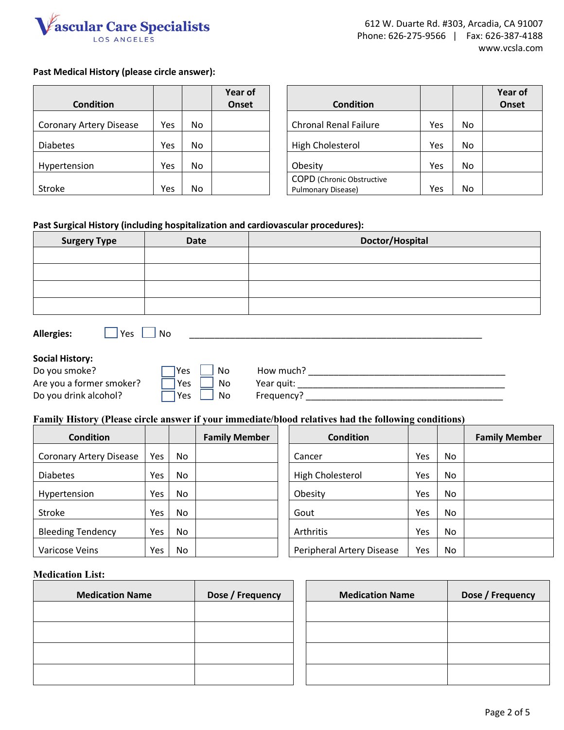

# **Past Medical History (please circle answer):**

|                                |     |     | Year of |                                                        |     |    | Year of |
|--------------------------------|-----|-----|---------|--------------------------------------------------------|-----|----|---------|
| <b>Condition</b>               |     |     | Onset   | <b>Condition</b>                                       |     |    | Onset   |
| <b>Coronary Artery Disease</b> | Yes | No  |         | <b>Chronal Renal Failure</b>                           | Yes | No |         |
| <b>Diabetes</b>                | Yes | No. |         | <b>High Cholesterol</b>                                | Yes | No |         |
| Hypertension                   | Yes | No  |         | Obesity                                                | Yes | No |         |
| Stroke                         | Yes | No  |         | <b>COPD</b> (Chronic Obstructive<br>Pulmonary Disease) | Yes | No |         |

#### **Past Surgical History (including hospitalization and cardiovascular procedures):**

| <b>Surgery Type</b>                                                                                  | <b>Date</b>                   | Doctor/Hospital     |  |  |  |
|------------------------------------------------------------------------------------------------------|-------------------------------|---------------------|--|--|--|
|                                                                                                      |                               |                     |  |  |  |
|                                                                                                      |                               |                     |  |  |  |
|                                                                                                      |                               |                     |  |  |  |
|                                                                                                      |                               |                     |  |  |  |
| <b>Allergies:</b>                                                                                    | $\overline{\ }$ Yes $\Box$ No |                     |  |  |  |
| <b>Social History:</b>                                                                               |                               |                     |  |  |  |
| Do you smoke?                                                                                        | No<br>Yes                     | How much? Now much? |  |  |  |
| Are you a former smoker?                                                                             | No<br>Yes                     |                     |  |  |  |
| Do you drink alcohol?                                                                                | No.<br>Yes                    |                     |  |  |  |
| Family History (Please circle answer if your immediate/blood relatives had the following conditions) |                               |                     |  |  |  |

| <b>Condition</b>               |            |           | <b>Family Member</b> | <b>Condition</b>          |     |           | <b>Family Member</b> |
|--------------------------------|------------|-----------|----------------------|---------------------------|-----|-----------|----------------------|
| <b>Coronary Artery Disease</b> | <b>Yes</b> | No        |                      | Cancer                    | Yes | No.       |                      |
| <b>Diabetes</b>                | <b>Yes</b> | No        |                      | High Cholesterol          | Yes | <b>No</b> |                      |
| Hypertension                   | Yes        | <b>No</b> |                      | Obesity                   | Yes | <b>No</b> |                      |
| Stroke                         | Yes        | No.       |                      | Gout                      | Yes | <b>No</b> |                      |
| <b>Bleeding Tendency</b>       | Yes        | No        |                      | Arthritis                 | Yes | <b>No</b> |                      |
| Varicose Veins                 | Yes        | No.       |                      | Peripheral Artery Disease | Yes | No.       |                      |

#### **Medication List:**

| <b>Medication Name</b> | Dose / Frequency |
|------------------------|------------------|
|                        |                  |
|                        |                  |
|                        |                  |
|                        |                  |

| <b>Medication Name</b> | Dose / Frequency | <b>Medication Name</b> | Dose / Frequency |
|------------------------|------------------|------------------------|------------------|
|                        |                  |                        |                  |
|                        |                  |                        |                  |
|                        |                  |                        |                  |
|                        |                  |                        |                  |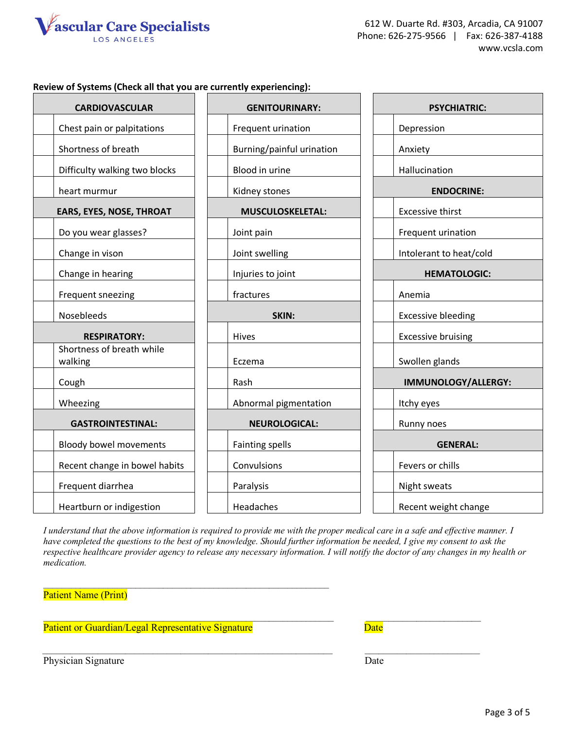

### **Review of Systems (Check all that you are currently experiencing):**

| <b>CARDIOVASCULAR</b>                | <b>GENITOURINARY:</b>     | <b>PSYCHIATRIC:</b>       |  |  |
|--------------------------------------|---------------------------|---------------------------|--|--|
| Chest pain or palpitations           | Frequent urination        | Depression                |  |  |
| Shortness of breath                  | Burning/painful urination | Anxiety                   |  |  |
| Difficulty walking two blocks        | Blood in urine            | Hallucination             |  |  |
| heart murmur                         | Kidney stones             | <b>ENDOCRINE:</b>         |  |  |
| <b>EARS, EYES, NOSE, THROAT</b>      | <b>MUSCULOSKELETAL:</b>   | <b>Excessive thirst</b>   |  |  |
| Do you wear glasses?                 | Joint pain                | Frequent urination        |  |  |
| Change in vison                      | Joint swelling            | Intolerant to heat/cold   |  |  |
| Change in hearing                    | Injuries to joint         | <b>HEMATOLOGIC:</b>       |  |  |
| Frequent sneezing                    | fractures                 | Anemia                    |  |  |
| Nosebleeds                           | SKIN:                     | <b>Excessive bleeding</b> |  |  |
| <b>RESPIRATORY:</b>                  | Hives                     | <b>Excessive bruising</b> |  |  |
| Shortness of breath while<br>walking | Eczema                    | Swollen glands            |  |  |
| Cough                                | Rash                      | IMMUNOLOGY/ALLERGY:       |  |  |
| Wheezing                             | Abnormal pigmentation     | Itchy eyes                |  |  |
| <b>GASTROINTESTINAL:</b>             | <b>NEUROLOGICAL:</b>      | Runny noes                |  |  |
| <b>Bloody bowel movements</b>        | <b>Fainting spells</b>    | <b>GENERAL:</b>           |  |  |
| Recent change in bowel habits        | Convulsions               | Fevers or chills          |  |  |
| Frequent diarrhea                    | Paralysis                 | Night sweats              |  |  |
| Heartburn or indigestion             | Headaches                 | Recent weight change      |  |  |

*I understand that the above information is required to provide me with the proper medical care in a safe and effective manner. I have completed the questions to the best of my knowledge. Should further information be needed, I give my consent to ask the respective healthcare provider agency to release any necessary information. I will notify the doctor of any changes in my health or medication.* 

 $\frac{1}{2}$  ,  $\frac{1}{2}$  ,  $\frac{1}{2}$  ,  $\frac{1}{2}$  ,  $\frac{1}{2}$  ,  $\frac{1}{2}$  ,  $\frac{1}{2}$  ,  $\frac{1}{2}$  ,  $\frac{1}{2}$  ,  $\frac{1}{2}$  ,  $\frac{1}{2}$  ,  $\frac{1}{2}$  ,  $\frac{1}{2}$  ,  $\frac{1}{2}$  ,  $\frac{1}{2}$  ,  $\frac{1}{2}$  ,  $\frac{1}{2}$  ,  $\frac{1}{2}$  ,  $\frac{1$ 

Patient Name (Print)

Patient or Guardian/Legal Representative Signature Date

\_\_\_\_\_\_\_\_\_\_\_\_\_\_\_\_\_\_\_\_\_\_\_\_\_\_\_\_\_\_\_\_\_\_\_\_\_\_\_\_\_\_\_\_\_\_\_\_\_\_\_\_\_\_\_\_\_\_\_\_\_\_

 $\mathcal{L}_\mathcal{L} = \mathcal{L}_\mathcal{L} = \mathcal{L}_\mathcal{L} = \mathcal{L}_\mathcal{L} = \mathcal{L}_\mathcal{L} = \mathcal{L}_\mathcal{L} = \mathcal{L}_\mathcal{L} = \mathcal{L}_\mathcal{L} = \mathcal{L}_\mathcal{L} = \mathcal{L}_\mathcal{L} = \mathcal{L}_\mathcal{L} = \mathcal{L}_\mathcal{L} = \mathcal{L}_\mathcal{L} = \mathcal{L}_\mathcal{L} = \mathcal{L}_\mathcal{L} = \mathcal{L}_\mathcal{L} = \mathcal{L}_\mathcal{L}$ 

Physician Signature Date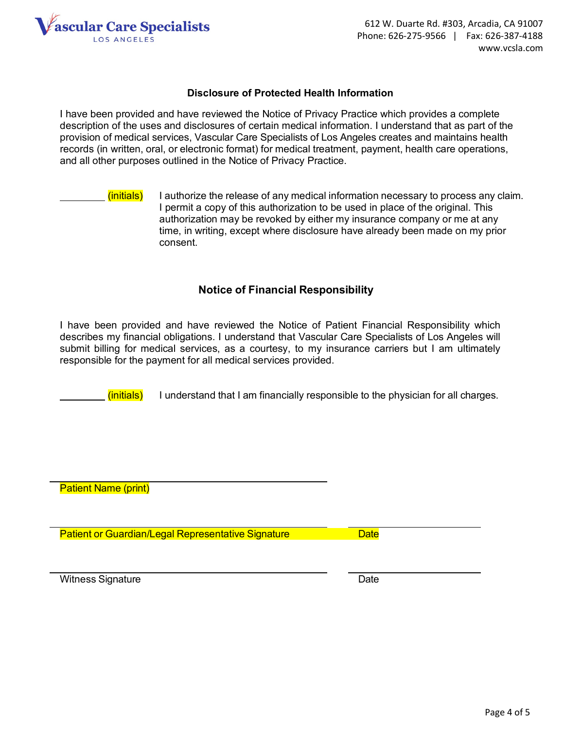

# **Disclosure of Protected Health Information**

I have been provided and have reviewed the Notice of Privacy Practice which provides a complete description of the uses and disclosures of certain medical information. I understand that as part of the provision of medical services, Vascular Care Specialists of Los Angeles creates and maintains health records (in written, oral, or electronic format) for medical treatment, payment, health care operations, and all other purposes outlined in the Notice of Privacy Practice.

 $(i$ nitials) I authorize the release of any medical information necessary to process any claim. I permit a copy of this authorization to be used in place of the original. This authorization may be revoked by either my insurance company or me at any time, in writing, except where disclosure have already been made on my prior consent.

# **Notice of Financial Responsibility**

I have been provided and have reviewed the Notice of Patient Financial Responsibility which describes my financial obligations. I understand that Vascular Care Specialists of Los Angeles will submit billing for medical services, as a courtesy, to my insurance carriers but I am ultimately responsible for the payment for all medical services provided.

 $(i$ nitials) I understand that I am financially responsible to the physician for all charges.

Patient Name (print)

Patient or Guardian/Legal Representative Signature Date

Witness Signature **Date** Date **Date**